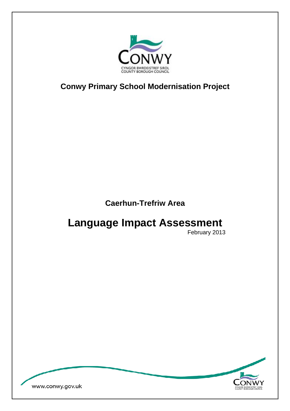

**Conwy Primary School Modernisation Project** 

**Caerhun-Trefriw Area** 

# **Language Impact Assessment**

February 2013

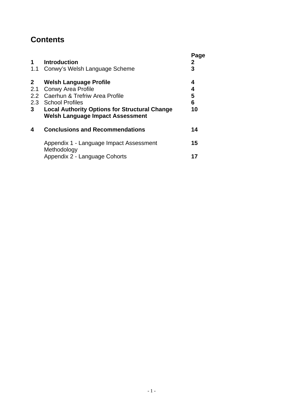## **Contents**

| <b>Introduction</b><br>Conwy's Welsh Language Scheme                                                                                                                                                                       | Page<br>2<br>3         |
|----------------------------------------------------------------------------------------------------------------------------------------------------------------------------------------------------------------------------|------------------------|
| <b>Welsh Language Profile</b><br><b>Conwy Area Profile</b><br>2.2 Caerhun & Trefriw Area Profile<br>2.3 School Profiles<br><b>Local Authority Options for Structural Change</b><br><b>Welsh Language Impact Assessment</b> | 4<br>4<br>5<br>6<br>10 |
| <b>Conclusions and Recommendations</b>                                                                                                                                                                                     | 14                     |
| Appendix 1 - Language Impact Assessment<br>Methodology<br>Appendix 2 - Language Cohorts                                                                                                                                    | 15<br>17               |
|                                                                                                                                                                                                                            |                        |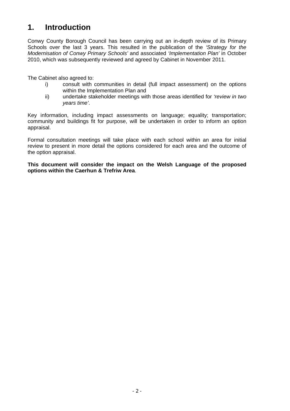# **1. Introduction**

Conwy County Borough Council has been carrying out an in-depth review of its Primary Schools over the last 3 years. This resulted in the publication of the *'Strategy for the Modernisation of Conwy Primary Schools'* and associated *'Implementation Plan'* in October 2010, which was subsequently reviewed and agreed by Cabinet in November 2011.

The Cabinet also agreed to:

- i) consult with communities in detail (full impact assessment) on the options within the Implementation Plan and
- ii) undertake stakeholder meetings with those areas identified for *'review in two years time'*.

Key information, including impact assessments on language; equality; transportation; community and buildings fit for purpose, will be undertaken in order to inform an option appraisal.

Formal consultation meetings will take place with each school within an area for initial review to present in more detail the options considered for each area and the outcome of the option appraisal.

**This document will consider the impact on the Welsh Language of the proposed options within the Caerhun & Trefriw Area**.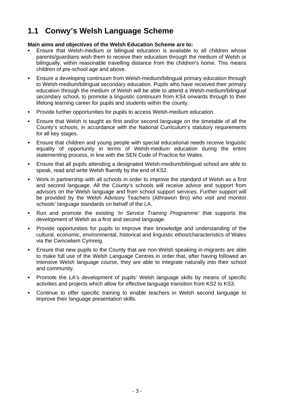# **1.1 Conwy's Welsh Language Scheme**

#### **Main aims and objectives of the Welsh Education Scheme are to:**

- Ensure that Welsh-medium or bilingual education is available to all children whose parents/guardians wish them to receive their education through the medium of Welsh or bilingually, within reasonable travelling distance from the children's home. This means children of pre-school age and above.
- Ensure a developing continuum from Welsh-medium/bilingual primary education through to Welsh-medium/bilingual secondary education. Pupils who have received their primary education through the medium of Welsh will be able to attend a Welsh-medium/bilingual secondary school, to promote a linguistic continuum from KS4 onwards through to their lifelong learning career for pupils and students within the county.
- **Provide further opportunities for pupils to access Welsh-medium education.**
- Ensure that Welsh is taught as first and/or second language on the timetable of all the County's schools, in accordance with the National Curriculum's statutory requirements for all key stages.
- Ensure that children and young people with special educational needs receive linguistic equality of opportunity in terms of Welsh-medium education during the entire statementing process, in line with the SEN Code of Practice for Wales.
- Ensure that all pupils attending a designated Welsh-medium/bilingual school are able to speak, read and write Welsh fluently by the end of KS2.
- Work in partnership with all schools in order to improve the standard of Welsh as a first and second language. All the County's schools will receive advice and support from advisors on the Welsh language and from school support services. Further support will be provided by the Welsh Advisory Teachers (Athrawon Bro) who visit and monitor schools' language standards on behalf of the LA.
- Run and promote the existing *'In Service Training Programme'* that supports the development of Welsh as a first and second language.
- Provide opportunities for pupils to improve their knowledge and understanding of the cultural, economic, environmental, historical and linguistic ethos/characteristics of Wales via the Cwricwlwm Cymreig.
- Ensure that new pupils to the County that are non-Welsh speaking in-migrants are able to make full use of the Welsh Language Centres in order that, after having followed an intensive Welsh language course, they are able to integrate naturally into their school and community.
- Promote the LA's development of pupils' Welsh language skills by means of specific activities and projects which allow for effective language transition from KS2 to KS3.
- Continue to offer specific training to enable teachers in Welsh second language to improve their language presentation skills.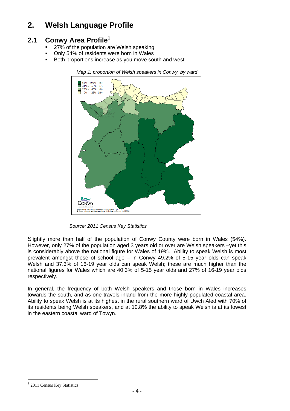# **2. Welsh Language Profile**

### **2.1 Conwy Area Profile<sup>1</sup>**

- 27% of the population are Welsh speaking
- Only 54% of residents were born in Wales
- Both proportions increase as you move south and west



*Map 1: proportion of Welsh speakers in Conwy, by ward* 

*Source: 2011 Census Key Statistics* 

Slightly more than half of the population of Conwy County were born in Wales (54%). However, only 27% of the population aged 3 years old or over are Welsh speakers –yet this is considerably above the national figure for Wales of 19%. Ability to speak Welsh is most prevalent amongst those of school age – in Conwy 49.2% of 5-15 year olds can speak Welsh and 37.3% of 16-19 year olds can speak Welsh; these are much higher than the national figures for Wales which are 40.3% of 5-15 year olds and 27% of 16-19 year olds respectively.

In general, the frequency of both Welsh speakers and those born in Wales increases towards the south, and as one travels inland from the more highly populated coastal area. Ability to speak Welsh is at its highest in the rural southern ward of Uwch Aled with 70% of its residents being Welsh speakers, and at 10.8% the ability to speak Welsh is at its lowest in the eastern coastal ward of Towyn.

 $\overline{a}$ 

<sup>&</sup>lt;sup>1</sup> 2011 Census Key Statistics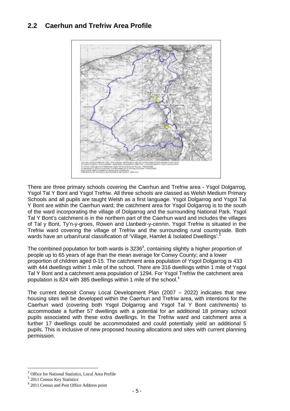### **2.2 Caerhun and Trefriw Area Profile**



There are three primary schools covering the Caerhun and Trefriw area - Ysgol Dolgarrog, Ysgol Tal Y Bont and Ysgol Trefriw. All three schools are classed as Welsh Medium Primary Schools and all pupils are taught Welsh as a first language. Ysgol Dolgarrog and Ysgol Tal Y Bont are within the Caerhun ward; the catchment area for Ysgol Dolgarrog is to the south of the ward incorporating the village of Dolgarrog and the surrounding National Park. Ysgol Tal Y Bont's catchment is in the northern part of the Caerhun ward and includes the villages of Tal y Bont, Ty'n-y-groes, Rowen and Llanbedr-y-cennin. Ysgol Trefriw is situated in the Trefriw ward covering the village of Trefriw and the surrounding rural countryside. Both wards have an urban/rural classification of 'Village, Hamlet & Isolated Dwellings'.<sup>2</sup>

The combined population for both wards is  $3236<sup>3</sup>$ , containing slightly a higher proportion of people up to 65 years of age than the mean average for Conwy County; and a lower proportion of children aged 0-15. The catchment area population of Ysgol Dolgarrog is 433 with 444 dwellings within 1 mile of the school. There are 316 dwellings within 1 mile of Ysgol Tal Y Bont and a catchment area population of 1294. For Ysgol Trefriw the catchment area population is 824 with 385 dwellings within 1 mile of the school.<sup>4</sup>

The current deposit Conwy Local Development Plan (2007 – 2022) indicates that new housing sites will be developed within the Caerhun and Trefriw area, with intentions for the Caerhun ward (covering both Ysgol Dolgarrog and Ysgol Tal Y Bont catchments) to accommodate a further 57 dwellings with a potential for an additional 18 primary school pupils associated with these extra dwellings. In the Trefriw ward and catchment area a further 17 dwellings could be accommodated and could potentially yield an additional 5 pupils. This is inclusive of new proposed housing allocations and sites with current planning permission.

 $\overline{a}$ 

<sup>2</sup> Office for National Statistics, Local Area Profile

<sup>&</sup>lt;sup>3</sup> 2011 Census Key Statistics

<sup>4</sup> 2011 Census and Post Office Address point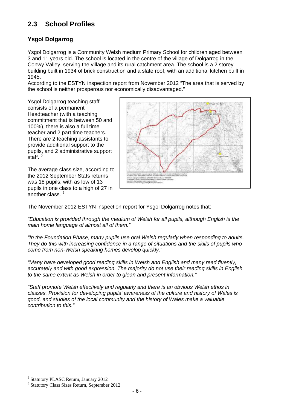### **2.3 School Profiles**

#### **Ysgol Dolgarrog**

Ysgol Dolgarrog is a Community Welsh medium Primary School for children aged between 3 and 11 years old. The school is located in the centre of the village of Dolgarrog in the Conwy Valley, serving the village and its rural catchment area. The school is a 2 storey building built in 1934 of brick construction and a slate roof, with an additional kitchen built in 1945.

According to the ESTYN inspection report from November 2012 "The area that is served by the school is neither prosperous nor economically disadvantaged."

Ysgol Dolgarrog teaching staff consists of a permanent Headteacher (with a teaching commitment that is between 50 and 100%), there is also a full time teacher and 2 part time teachers. There are 2 teaching assistants to provide additional support to the pupils, and 2 administrative support staff.<sup>5</sup>

The average class size, according to the 2012 September Stats returns was 18 pupils, with as low of 13 pupils in one class to a high of 27 in another class. <sup>6</sup>



The November 2012 ESTYN inspection report for Ysgol Dolgarrog notes that:

*"Education is provided through the medium of Welsh for all pupils, although English is the main home language of almost all of them."* 

*"In the Foundation Phase, many pupils use oral Welsh regularly when responding to adults. They do this with increasing confidence in a range of situations and the skills of pupils who come from non-Welsh speaking homes develop quickly."* 

*"Many have developed good reading skills in Welsh and English and many read fluently, accurately and with good expression. The majority do not use their reading skills in English to the same extent as Welsh in order to glean and present information."* 

*"Staff promote Welsh effectively and regularly and there is an obvious Welsh ethos in classes. Provision for developing pupils' awareness of the culture and history of Wales is good, and studies of the local community and the history of Wales make a valuable contribution to this."* 

 $\overline{a}$ 5 Statutory PLASC Return, January 2012

<sup>6</sup> Statutory Class Sizes Return, September 2012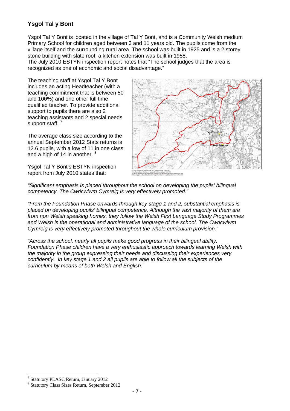#### **Ysgol Tal y Bont**

Ysgol Tal Y Bont is located in the village of Tal Y Bont, and is a Community Welsh medium Primary School for children aged between 3 and 11 years old. The pupils come from the village itself and the surrounding rural area. The school was built in 1925 and is a 2 storey stone building with slate roof; a kitchen extension was built in 1958.

The July 2010 ESTYN inspection report notes that "The school judges that the area is recognized as one of economic and social disadvantage."

The teaching staff at Ysgol Tal Y Bont includes an acting Headteacher (with a teaching commitment that is between 50 and 100%) and one other full time qualified teacher. To provide additional support to pupils there are also 2 teaching assistants and 2 special needs support staff.<sup>7</sup>

The average class size according to the annual September 2012 Stats returns is 12.6 pupils, with a low of 11 in one class and a high of 14 in another.  $8<sup>8</sup>$ 

Ysgol Tal Y Bont's ESTYN inspection report from July 2010 states that:



*"Significant emphasis is placed throughout the school on developing the pupils' bilingual competency. The Cwricwlwm Cymreig is very effectively promoted."* 

*"From the Foundation Phase onwards through key stage 1 and 2, substantial emphasis is placed on developing pupils' bilingual competence. Although the vast majority of them are from non Welsh speaking homes, they follow the Welsh First Language Study Programmes and Welsh is the operational and administrative language of the school. The Cwricwlwm Cymreig is very effectively promoted throughout the whole curriculum provision."* 

*"Across the school, nearly all pupils make good progress in their bilingual ability. Foundation Phase children have a very enthusiastic approach towards learning Welsh with the majority in the group expressing their needs and discussing their experiences very confidently. In key stage 1 and 2 all pupils are able to follow all the subjects of the curriculum by means of both Welsh and English."* 

 $\overline{a}$ 7 Statutory PLASC Return, January 2012

<sup>8</sup> Statutory Class Sizes Return, September 2012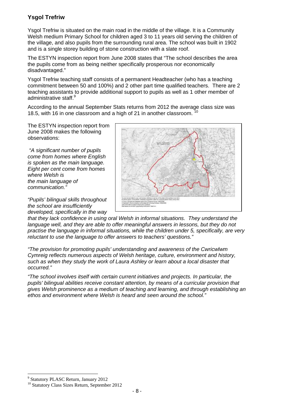#### **Ysgol Trefriw**

Ysgol Trefriw is situated on the main road in the middle of the village. It is a Community Welsh medium Primary School for children aged 3 to 11 years old serving the children of the village, and also pupils from the surrounding rural area. The school was built in 1902 and is a single storey building of stone construction with a slate roof.

The ESTYN inspection report from June 2008 states that "The school describes the area the pupils come from as being neither specifically prosperous nor economically disadvantaged."

Ysgol Trefriw teaching staff consists of a permanent Headteacher (who has a teaching commitment between 50 and 100%) and 2 other part time qualified teachers. There are 2 teaching assistants to provide additional support to pupils as well as 1 other member of administrative staff.<sup>9</sup>

According to the annual September Stats returns from 2012 the average class size was 18.5, with 16 in one classroom and a high of 21 in another classroom.

The ESTYN inspection report from June 2008 makes the following observations:

 *"A significant number of pupils come from homes where English is spoken as the main language. Eight per cent come from homes where Welsh is the main language of communication."* 

*"Pupils' bilingual skills throughout the school are insufficiently developed, specifically in the way* 



*that they lack confidence in using oral Welsh in informal situations. They understand the language well, and they are able to offer meaningful answers in lessons, but they do not practise the language in informal situations, while the children under 5, specifically, are very reluctant to use the language to offer answers to teachers' questions."* 

*"The provision for promoting pupils' understanding and awareness of the Cwricwlwm Cymreig reflects numerous aspects of Welsh heritage, culture, environment and history, such as when they study the work of Laura Ashley or learn about a local disaster that occurred."* 

*"The school involves itself with certain current initiatives and projects. In particular, the pupils' bilingual abilities receive constant attention, by means of a curricular provision that gives Welsh prominence as a medium of teaching and learning, and through establishing an ethos and environment where Welsh is heard and seen around the school."* 

 $\overline{a}$ 9 Statutory PLASC Return, January 2012

<sup>&</sup>lt;sup>10</sup> Statutory Class Sizes Return, September 2012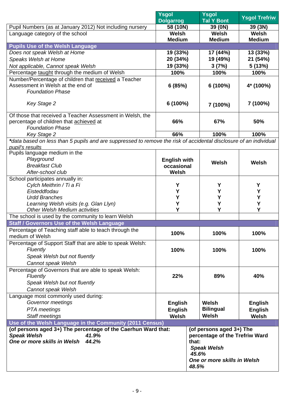|                                                                                                                   | Ysgol<br><b>Dolgarrog</b> |       | <b>Ysgol</b><br><b>Tal Y Bont</b> | <b>Ysgol Trefriw</b> |  |
|-------------------------------------------------------------------------------------------------------------------|---------------------------|-------|-----------------------------------|----------------------|--|
| Pupil Numbers (as at January 2012) Not including nursery                                                          | 58 (10N)                  |       | 39 (0N)                           | 39 (3N)              |  |
| Language category of the school                                                                                   | Welsh                     |       | Welsh                             | Welsh                |  |
|                                                                                                                   | <b>Medium</b>             |       | <b>Medium</b>                     | <b>Medium</b>        |  |
| <b>Pupils Use of the Welsh Language</b>                                                                           |                           |       |                                   |                      |  |
| Does not speak Welsh at Home                                                                                      | 19 (33%)                  |       | 17 (44%)                          | 13 (33%)             |  |
| Speaks Welsh at Home                                                                                              | 20 (34%)                  |       | 19 (49%)                          | 21 (54%)             |  |
| Not applicable, Cannot speak Welsh                                                                                | 19 (33%)                  |       | 3(7%)                             | 5(13%)               |  |
| Percentage taught through the medium of Welsh                                                                     | 100%                      |       | 100%                              | 100%                 |  |
| Number/Percentage of children that received a Teacher                                                             |                           |       |                                   |                      |  |
| Assessment in Welsh at the end of                                                                                 | 6(85%)                    |       | 6 (100%)                          | 4* (100%)            |  |
| <b>Foundation Phase</b>                                                                                           |                           |       |                                   |                      |  |
|                                                                                                                   |                           |       |                                   |                      |  |
| Key Stage 2                                                                                                       | 6 (100%)                  |       | 7 (100%)                          | 7 (100%)             |  |
| Of those that received a Teacher Assessment in Welsh, the                                                         |                           |       |                                   |                      |  |
| percentage of children that achieved at                                                                           | 66%                       |       | 67%                               | 50%                  |  |
| <b>Foundation Phase</b>                                                                                           |                           |       |                                   |                      |  |
| <b>Key Stage 2</b>                                                                                                | 66%                       |       | 100%                              | 100%                 |  |
| *data based on less than 5 pupils and are suppressed to remove the risk of accidental disclosure of an individual |                           |       |                                   |                      |  |
| pupil's results                                                                                                   |                           |       |                                   |                      |  |
| Pupils language medium in the                                                                                     |                           |       |                                   |                      |  |
| Playground                                                                                                        | <b>English with</b>       |       |                                   |                      |  |
| <b>Breakfast Club</b>                                                                                             | occasional                |       | Welsh                             | Welsh                |  |
| After-school club                                                                                                 | Welsh                     |       |                                   |                      |  |
| School participates annually in:                                                                                  |                           |       |                                   |                      |  |
| Cylch Meithrin / Ti a Fi                                                                                          | Y                         |       | Y                                 | Y                    |  |
| Eisteddfodau                                                                                                      | Y                         |       | Υ                                 | Y                    |  |
| <b>Urdd Branches</b>                                                                                              | Υ                         |       | Y                                 | Y                    |  |
| Learning Welsh visits (e.g. Glan Llyn)                                                                            | Υ                         |       | Υ                                 | Υ                    |  |
| Other Welsh Medium activities                                                                                     | Υ                         |       | Υ                                 | Y                    |  |
| The school is used by the community to learn Welsh                                                                |                           |       |                                   |                      |  |
| <b>Staff / Governors Use of the Welsh Language</b>                                                                |                           |       |                                   |                      |  |
| Percentage of Teaching staff able to teach through the                                                            | 100%                      |       | 100%                              | 100%                 |  |
| medium of Welsh                                                                                                   |                           |       |                                   |                      |  |
| Percentage of Support Staff that are able to speak Welsh:                                                         |                           |       |                                   |                      |  |
| Fluently                                                                                                          | 100%                      | 100%  |                                   | 100%                 |  |
| Speak Welsh but not fluently                                                                                      |                           |       |                                   |                      |  |
| Cannot speak Welsh                                                                                                |                           |       |                                   |                      |  |
| Percentage of Governors that are able to speak Welsh:                                                             |                           |       |                                   |                      |  |
| Fluently                                                                                                          | 22%                       |       | 89%                               | 40%                  |  |
| Speak Welsh but not fluently                                                                                      |                           |       |                                   |                      |  |
| Cannot speak Welsh                                                                                                |                           |       |                                   |                      |  |
| Language most commonly used during:                                                                               |                           |       |                                   |                      |  |
| Governor meetings                                                                                                 | <b>English</b>            |       | Welsh                             | <b>English</b>       |  |
| PTA meetings                                                                                                      | <b>English</b>            |       | <b>Bilingual</b>                  | <b>English</b>       |  |
| Staff meetings                                                                                                    | Welsh                     |       | Welsh                             | Welsh                |  |
| Use of the Welsh Language in the Community (2011 Census)                                                          |                           |       |                                   |                      |  |
| (of persons aged 3+) The percentage of the Caerhun Ward that:                                                     |                           |       | (of persons aged 3+) The          |                      |  |
| <b>Speak Welsh</b><br>41.9%                                                                                       |                           |       | percentage of the Trefriw Ward    |                      |  |
| One or more skills in Welsh<br>44.2%                                                                              |                           | that: |                                   |                      |  |
|                                                                                                                   |                           |       | <b>Speak Welsh</b>                |                      |  |
|                                                                                                                   |                           | 45.6% |                                   |                      |  |
|                                                                                                                   |                           |       | One or more skills in Welsh       |                      |  |
|                                                                                                                   |                           | 48.5% |                                   |                      |  |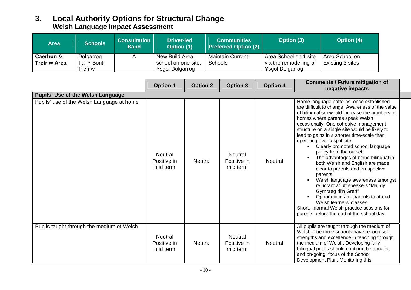### **3. Local Authority Options for Structural Change Welsh Language Impact Assessment**

| Area                | <b>Schools</b> | <b>Consultation</b><br><b>Band</b> | <b>Driver-led</b><br>Option (1) | <b>Communities</b><br><b>Preferred Option (2)</b> | Option (3)             | Option (4)       |
|---------------------|----------------|------------------------------------|---------------------------------|---------------------------------------------------|------------------------|------------------|
| Caerhun &           | Dolgarrog      |                                    | New Build Area                  | <b>Maintain Current</b>                           | Area School on 1 site  | Area School on   |
| <b>Trefriw Area</b> | Tal Y Bont     |                                    | school on one site,             | Schools                                           | via the remodelling of | Existing 3 sites |
|                     | Trefriw        |                                    | <b>Ysgol Dolgarrog</b>          |                                                   | <b>Ysgol Dolgarrog</b> |                  |

|                                           | <b>Option 1</b>                           | <b>Option 2</b> | <b>Option 3</b>                           | <b>Option 4</b> | <b>Comments / Future mitigation of</b><br>negative impacts                                                                                                                                                                                                                                                                                                                                                                                                                                                                                                                                                                                                                                                                                                                                                     |
|-------------------------------------------|-------------------------------------------|-----------------|-------------------------------------------|-----------------|----------------------------------------------------------------------------------------------------------------------------------------------------------------------------------------------------------------------------------------------------------------------------------------------------------------------------------------------------------------------------------------------------------------------------------------------------------------------------------------------------------------------------------------------------------------------------------------------------------------------------------------------------------------------------------------------------------------------------------------------------------------------------------------------------------------|
| <b>Pupils' Use of the Welsh Language</b>  |                                           |                 |                                           |                 |                                                                                                                                                                                                                                                                                                                                                                                                                                                                                                                                                                                                                                                                                                                                                                                                                |
| Pupils' use of the Welsh Language at home | <b>Neutral</b><br>Positive in<br>mid term | <b>Neutral</b>  | <b>Neutral</b><br>Positive in<br>mid term | <b>Neutral</b>  | Home language patterns, once established<br>are difficult to change. Awareness of the value<br>of bilingualism would increase the numbers of<br>homes where parents speak Welsh<br>occasionally. One cohesive management<br>structure on a single site would be likely to<br>lead to gains in a shorter time-scale than<br>operating over a split site<br>Clearly promoted school language<br>policy from the outset.<br>The advantages of being bilingual in<br>both Welsh and English are made<br>clear to parents and prospective<br>parents.<br>Welsh language awareness amongst<br>reluctant adult speakers "Ma' dy<br>Gymraeg di'n Gret!"<br>Opportunities for parents to attend<br>Welsh learners' classes.<br>Short, informal Welsh practice sessions for<br>parents before the end of the school day. |
| Pupils taught through the medium of Welsh | <b>Neutral</b><br>Positive in<br>mid term | <b>Neutral</b>  | Neutral<br>Positive in<br>mid term        | <b>Neutral</b>  | All pupils are taught through the medium of<br>Welsh. The three schools have recognised<br>strengths and excellence in teaching through<br>the medium of Welsh. Developing fully<br>bilingual pupils should continue be a major,<br>and on-going, focus of the School<br>Development Plan. Monitoring this                                                                                                                                                                                                                                                                                                                                                                                                                                                                                                     |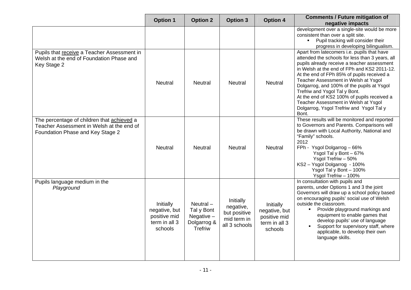|                                                                                                                             | <b>Option 1</b>                                                        | <b>Option 2</b>                                                     | <b>Option 3</b>                                                        | <b>Option 4</b>                                                        | <b>Comments / Future mitigation of</b><br>negative impacts                                                                                                                                                                                                                                                                                                                                                                                                                                                    |
|-----------------------------------------------------------------------------------------------------------------------------|------------------------------------------------------------------------|---------------------------------------------------------------------|------------------------------------------------------------------------|------------------------------------------------------------------------|---------------------------------------------------------------------------------------------------------------------------------------------------------------------------------------------------------------------------------------------------------------------------------------------------------------------------------------------------------------------------------------------------------------------------------------------------------------------------------------------------------------|
|                                                                                                                             |                                                                        |                                                                     |                                                                        |                                                                        | development over a single-site would be more<br>consistent than over a split site.<br>• Pupil tracking will consider their<br>progress in developing bilingualism.                                                                                                                                                                                                                                                                                                                                            |
| Pupils that receive a Teacher Assessment in<br>Welsh at the end of Foundation Phase and<br>Key Stage 2                      | <b>Neutral</b>                                                         | <b>Neutral</b>                                                      | <b>Neutral</b>                                                         | <b>Neutral</b>                                                         | Apart from latecomers i.e. pupils that have<br>attended the schools for less than 3 years, all<br>pupils already receive a teacher assessment<br>in Welsh at the end of FPh and KS2 2011-12.<br>At the end of FPh 85% of pupils received a<br>Teacher Assessment in Welsh at Ysgol<br>Dolgarrog, and 100% of the pupils at Ysgol<br>Trefriw and Ysgol Tal y Bont.<br>At the end of KS2 100% of pupils received a<br>Teacher Assessment in Welsh at Ysgol<br>Dolgarrog, Ysgol Trefriw and Ysgol Tal y<br>Bont. |
| The percentage of children that achieved a<br>Teacher Assessment in Welsh at the end of<br>Foundation Phase and Key Stage 2 | <b>Neutral</b>                                                         | <b>Neutral</b>                                                      | Neutral                                                                | <b>Neutral</b>                                                         | These results will be monitored and reported<br>to Governors and Parents. Comparisons will<br>be drawn with Local Authority, National and<br>"Family" schools.<br>2012<br>FPh - Ysgol Dolgarrog - 66%<br>Ysgol Tal y Bont - 67%<br>Ysgol Trefriw - 50%<br>KS2 - Ysgol Dolgarrog - 100%<br>Ysgol Tal y Bont - 100%<br>Ysgol Trefriw - 100%                                                                                                                                                                     |
| Pupils language medium in the<br>Playground                                                                                 | Initially<br>negative, but<br>positive mid<br>term in all 3<br>schools | $Neutral -$<br>Tal y Bont<br>Negative $-$<br>Dolgarrog &<br>Trefriw | Initially<br>negative,<br>but positive<br>mid term in<br>all 3 schools | Initially<br>negative, but<br>positive mid<br>term in all 3<br>schools | In consultation with pupils and<br>parents, under Options 1 and 3 the joint<br>Governors will draw up a school policy based<br>on encouraging pupils' social use of Welsh<br>outside the classroom.<br>Provide playground markings and<br>$\blacksquare$<br>equipment to enable games that<br>develop pupils' use of language<br>Support for supervisory staff, where<br>$\blacksquare$<br>applicable, to develop their own<br>language skills.                                                               |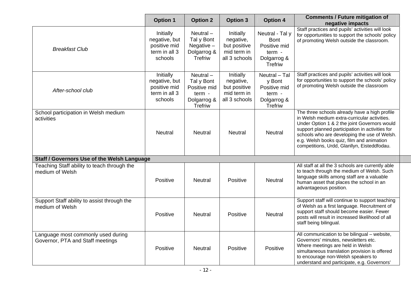|                                                                        | <b>Option 1</b>                                                        | <b>Option 2</b>                                                               | <b>Option 3</b>                                                        | <b>Option 4</b>                                                                           | <b>Comments / Future mitigation of</b><br>negative impacts                                                                                                                                                                                                                                                                                   |
|------------------------------------------------------------------------|------------------------------------------------------------------------|-------------------------------------------------------------------------------|------------------------------------------------------------------------|-------------------------------------------------------------------------------------------|----------------------------------------------------------------------------------------------------------------------------------------------------------------------------------------------------------------------------------------------------------------------------------------------------------------------------------------------|
| <b>Breakfast Club</b>                                                  | Initially<br>negative, but<br>positive mid<br>term in all 3<br>schools | Neutral-<br>Tal y Bont<br>Negative $-$<br>Dolgarrog &<br><b>Trefriw</b>       | Initially<br>negative,<br>but positive<br>mid term in<br>all 3 schools | Neutral - Tal y<br><b>Bont</b><br>Positive mid<br>term -<br>Dolgarrog &<br><b>Trefriw</b> | Staff practices and pupils' activities will look<br>for opportunities to support the schools' policy<br>of promoting Welsh outside the classroom.                                                                                                                                                                                            |
| After-school club                                                      | Initially<br>negative, but<br>positive mid<br>term in all 3<br>schools | Neutral $-$<br>Tal y Bont<br>Positive mid<br>term -<br>Dolgarrog &<br>Trefriw | Initially<br>negative,<br>but positive<br>mid term in<br>all 3 schools | Neutral - Tal<br>y Bont<br>Positive mid<br>term -<br>Dolgarrog &<br><b>Trefriw</b>        | Staff practices and pupils' activities will look<br>for opportunities to support the schools' policy<br>of promoting Welsh outside the classroom                                                                                                                                                                                             |
| School participation in Welsh medium<br>activities                     | <b>Neutral</b>                                                         | <b>Neutral</b>                                                                | <b>Neutral</b>                                                         | <b>Neutral</b>                                                                            | The three schools already have a high profile<br>in Welsh medium extra-curricular activities.<br>Under Option 1 & 2 the joint Governors would<br>support planned participation in activities for<br>schools who are developing the use of Welsh.<br>e.g. Welsh books quiz, film and animation<br>competitions, Urdd, Glanllyn, Eisteddfodau. |
| Staff / Governors Use of the Welsh Language                            |                                                                        |                                                                               |                                                                        |                                                                                           |                                                                                                                                                                                                                                                                                                                                              |
| Teaching Staff ability to teach through the<br>medium of Welsh         | Positive                                                               | <b>Neutral</b>                                                                | Positive                                                               | <b>Neutral</b>                                                                            | All staff at all the 3 schools are currently able<br>to teach through the medium of Welsh. Such<br>language skills among staff are a valuable<br>human asset that places the school in an<br>advantageous position.                                                                                                                          |
| Support Staff ability to assist through the<br>medium of Welsh         | Positive                                                               | <b>Neutral</b>                                                                | Positive                                                               | <b>Neutral</b>                                                                            | Support staff will continue to support teaching<br>of Welsh as a first language. Recruitment of<br>support staff should become easier. Fewer<br>posts will result in increased likelihood of all<br>staff being bilingual.                                                                                                                   |
| Language most commonly used during<br>Governor, PTA and Staff meetings | Positive                                                               | <b>Neutral</b>                                                                | Positive                                                               | Positive                                                                                  | All communication to be bilingual - website,<br>Governors' minutes, newsletters etc.<br>Where meetings are held in Welsh<br>simultaneous translation provision is offered<br>to encourage non-Welsh speakers to<br>understand and participate, e.g. Governors'                                                                               |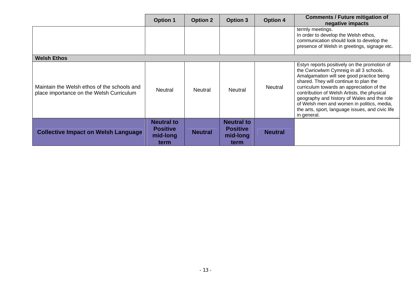|                                                                                         | <b>Option 1</b>                                          | <b>Option 2</b> | <b>Option 3</b>                                          | <b>Option 4</b> | <b>Comments / Future mitigation of</b><br>negative impacts                                                                                                                                                                                                                                                                                                                                                                                 |
|-----------------------------------------------------------------------------------------|----------------------------------------------------------|-----------------|----------------------------------------------------------|-----------------|--------------------------------------------------------------------------------------------------------------------------------------------------------------------------------------------------------------------------------------------------------------------------------------------------------------------------------------------------------------------------------------------------------------------------------------------|
|                                                                                         |                                                          |                 |                                                          |                 | termly meetings.<br>In order to develop the Welsh ethos,<br>communication should look to develop the<br>presence of Welsh in greetings, signage etc.                                                                                                                                                                                                                                                                                       |
| <b>Welsh Ethos</b>                                                                      |                                                          |                 |                                                          |                 |                                                                                                                                                                                                                                                                                                                                                                                                                                            |
| Maintain the Welsh ethos of the schools and<br>place importance on the Welsh Curriculum | <b>Neutral</b>                                           | <b>Neutral</b>  | <b>Neutral</b>                                           | <b>Neutral</b>  | Estyn reports positively on the promotion of<br>the Cwricwlwm Cymreig in all 3 schools.<br>Amalgamation will see good practice being<br>shared. They will continue to plan the<br>curriculum towards an appreciation of the<br>contribution of Welsh Artists, the physical<br>geography and history of Wales and the role<br>of Welsh men and women in politics, media,<br>the arts, sport, language issues, and civic life<br>in general. |
| <b>Collective Impact on Welsh Language</b>                                              | <b>Neutral to</b><br><b>Positive</b><br>mid-long<br>term | <b>Neutral</b>  | <b>Neutral to</b><br><b>Positive</b><br>mid-long<br>term | <b>Neutral</b>  |                                                                                                                                                                                                                                                                                                                                                                                                                                            |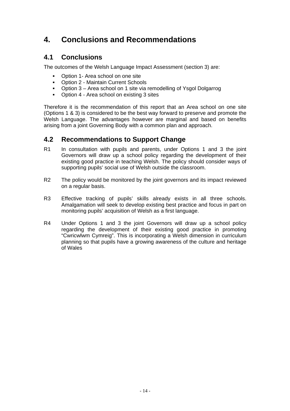# **4. Conclusions and Recommendations**

### **4.1 Conclusions**

The outcomes of the Welsh Language Impact Assessment (section 3) are:

- Option 1- Area school on one site
- Option 2 Maintain Current Schools
- Option 3 Area school on 1 site via remodelling of Ysgol Dolgarrog
- Option 4 Area school on existing 3 sites

Therefore it is the recommendation of this report that an Area school on one site (Options 1 & 3) is considered to be the best way forward to preserve and promote the Welsh Language. The advantages however are marginal and based on benefits arising from a joint Governing Body with a common plan and approach.

### **4.2 Recommendations to Support Change**

- R1 In consultation with pupils and parents, under Options 1 and 3 the joint Governors will draw up a school policy regarding the development of their existing good practice in teaching Welsh. The policy should consider ways of supporting pupils' social use of Welsh outside the classroom.
- R2 The policy would be monitored by the joint governors and its impact reviewed on a regular basis.
- R3 Effective tracking of pupils' skills already exists in all three schools. Amalgamation will seek to develop existing best practice and focus in part on monitoring pupils' acquisition of Welsh as a first language.
- R4 Under Options 1 and 3 the joint Governors will draw up a school policy regarding the development of their existing good practice in promoting "Cwricwlwm Cymreig". This is incorporating a Welsh dimension in curriculum planning so that pupils have a growing awareness of the culture and heritage of Wales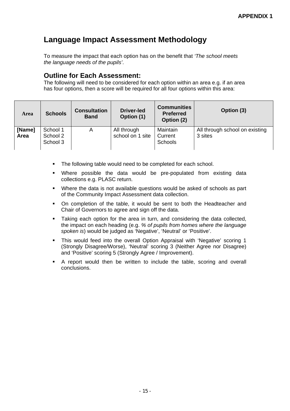# **Language Impact Assessment Methodology**

To measure the impact that each option has on the benefit that *'The school meets the language needs of the pupils'*.

#### **Outline for Each Assessment:**

The following will need to be considered for each option within an area e.g. if an area has four options, then a score will be required for all four options within this area:

| <b>Area</b>    | <b>Schools</b>                   | <b>Consultation</b><br><b>Band</b> | <b>Driver-led</b><br>Option (1) | <b>Communities</b><br><b>Preferred</b><br>Option (2) | Option (3)                                |
|----------------|----------------------------------|------------------------------------|---------------------------------|------------------------------------------------------|-------------------------------------------|
| [Name]<br>Area | School 1<br>School 2<br>School 3 | A                                  | All through<br>school on 1 site | Maintain<br>Current<br><b>Schools</b>                | All through school on existing<br>3 sites |

- The following table would need to be completed for each school.
- Where possible the data would be pre-populated from existing data collections e.g. PLASC return.
- Where the data is not available questions would be asked of schools as part of the Community Impact Assessment data collection.
- On completion of the table, it would be sent to both the Headteacher and Chair of Governors to agree and sign off the data.
- Taking each option for the area in turn, and considering the data collected, the impact on each heading (e.g. *% of pupils from homes where the language spoken is*) would be judged as 'Negative', 'Neutral' or 'Positive'.
- This would feed into the overall Option Appraisal with 'Negative' scoring 1 (Strongly Disagree/Worse), 'Neutral' scoring 3 (Neither Agree nor Disagree) and 'Positive' scoring 5 (Strongly Agree / Improvement).
- A report would then be written to include the table, scoring and overall conclusions.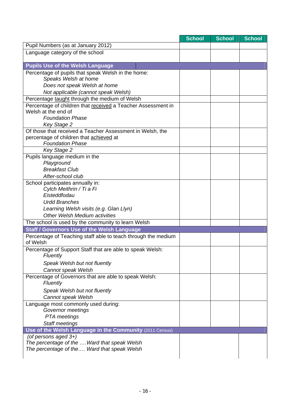|                                                                                 | <b>School</b> | School | <b>School</b> |
|---------------------------------------------------------------------------------|---------------|--------|---------------|
| Pupil Numbers (as at January 2012)                                              |               |        |               |
| Language category of the school                                                 |               |        |               |
|                                                                                 |               |        |               |
| <b>Pupils Use of the Welsh Language</b>                                         |               |        |               |
| Percentage of pupils that speak Welsh in the home:                              |               |        |               |
| Speaks Welsh at home                                                            |               |        |               |
| Does not speak Welsh at home                                                    |               |        |               |
| Not applicable (cannot speak Welsh)                                             |               |        |               |
| Percentage taught through the medium of Welsh                                   |               |        |               |
| Percentage of children that received a Teacher Assessment in                    |               |        |               |
| Welsh at the end of                                                             |               |        |               |
| <b>Foundation Phase</b>                                                         |               |        |               |
| <b>Key Stage 2</b><br>Of those that received a Teacher Assessment in Welsh, the |               |        |               |
| percentage of children that achieved at                                         |               |        |               |
| <b>Foundation Phase</b>                                                         |               |        |               |
| Key Stage 2                                                                     |               |        |               |
| Pupils language medium in the                                                   |               |        |               |
| Playground                                                                      |               |        |               |
| <b>Breakfast Club</b>                                                           |               |        |               |
| After-school club                                                               |               |        |               |
| School participates annually in:                                                |               |        |               |
| Cylch Meithrin / Ti a Fi                                                        |               |        |               |
| Eisteddfodau                                                                    |               |        |               |
| <b>Urdd Branches</b>                                                            |               |        |               |
| Learning Welsh visits (e.g. Glan Llyn)                                          |               |        |               |
| Other Welsh Medium activities                                                   |               |        |               |
| The school is used by the community to learn Welsh                              |               |        |               |
| Staff / Governors Use of the Welsh Language                                     |               |        |               |
| Percentage of Teaching staff able to teach through the medium<br>of Welsh       |               |        |               |
| Percentage of Support Staff that are able to speak Welsh:                       |               |        |               |
| Fluently                                                                        |               |        |               |
| Speak Welsh but not fluently                                                    |               |        |               |
| Cannot speak Welsh                                                              |               |        |               |
| Percentage of Governors that are able to speak Welsh:                           |               |        |               |
| Fluently                                                                        |               |        |               |
| Speak Welsh but not fluently                                                    |               |        |               |
| Cannot speak Welsh                                                              |               |        |               |
| Language most commonly used during:                                             |               |        |               |
| Governor meetings                                                               |               |        |               |
| PTA meetings                                                                    |               |        |               |
| Staff meetings                                                                  |               |        |               |
| Use of the Welsh Language in the Community (2011 Census)                        |               |        |               |
| (of persons aged 3+)                                                            |               |        |               |
| The percentage of the  Ward that speak Welsh                                    |               |        |               |
| The percentage of the Ward that speak Welsh                                     |               |        |               |